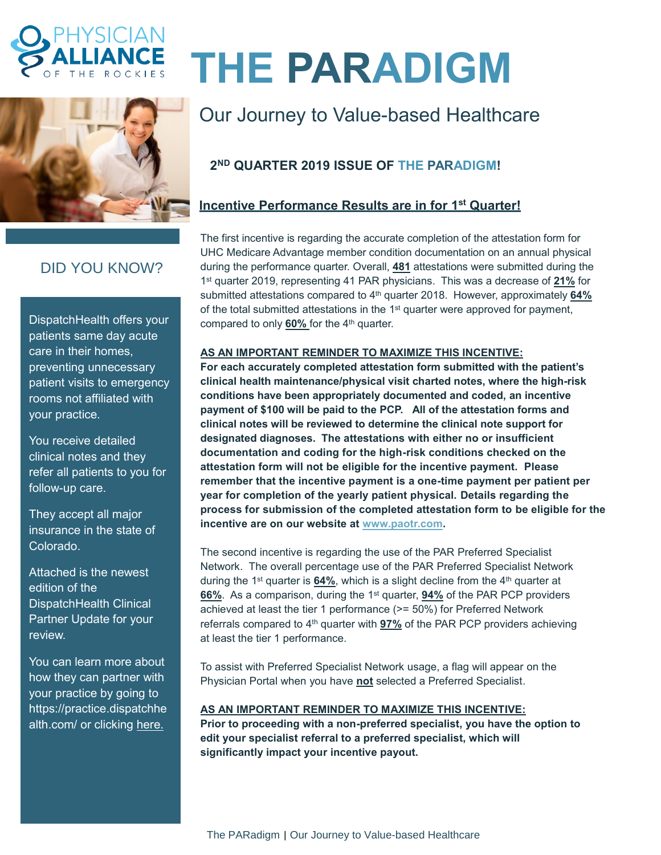



# **THE PARADIGM**

## Our Journey to Value-based Healthcare

## **2 ND QUARTER 2019 ISSUE OF THE PARADIGM!**

## **Incentive Performance Results are in for 1 st Quarter!**

The first incentive is regarding the accurate completion of the attestation form for UHC Medicare Advantage member condition documentation on an annual physical during the performance quarter. Overall, **481** attestations were submitted during the 1 st quarter 2019, representing 41 PAR physicians. This was a decrease of **21%** for submitted attestations compared to 4<sup>th</sup> quarter 2018. However, approximately 64% of the total submitted attestations in the 1<sup>st</sup> quarter were approved for payment, compared to only **60%** for the 4<sup>th</sup> quarter.

#### **AS AN IMPORTANT REMINDER TO MAXIMIZE THIS INCENTIVE:**

**For each accurately completed attestation form submitted with the patient's clinical health maintenance/physical visit charted notes, where the high-risk conditions have been appropriately documented and coded, an incentive payment of \$100 will be paid to the PCP. All of the attestation forms and clinical notes will be reviewed to determine the clinical note support for designated diagnoses. The attestations with either no or insufficient documentation and coding for the high-risk conditions checked on the attestation form will not be eligible for the incentive payment. Please remember that the incentive payment is a one-time payment per patient per year for completion of the yearly patient physical. Details regarding the process for submission of the completed attestation form to be eligible for the incentive are on our website at [www.paotr.com.](http://www.paotr.com/)** 

The second incentive is regarding the use of the PAR Preferred Specialist Network. The overall percentage use of the PAR Preferred Specialist Network during the 1<sup>st</sup> quarter is **64%**, which is a slight decline from the 4<sup>th</sup> quarter at 66%. As a comparison, during the 1<sup>st</sup> quarter, **94%** of the PAR PCP providers achieved at least the tier 1 performance (>= 50%) for Preferred Network referrals compared to 4<sup>th</sup> quarter with **97%** of the PAR PCP providers achieving at least the tier 1 performance.

To assist with Preferred Specialist Network usage, a flag will appear on the Physician Portal when you have **not** selected a Preferred Specialist.

#### **AS AN IMPORTANT REMINDER TO MAXIMIZE THIS INCENTIVE:**

**Prior to proceeding with a non-preferred specialist, you have the option to edit your specialist referral to a preferred specialist, which will significantly impact your incentive payout.**

## DID YOU KNOW?

DispatchHealth offers your patients same day acute care in their homes, preventing unnecessary patient visits to emergency rooms not affiliated with your practice.

You receive detailed clinical notes and they refer all patients to you for follow-up care.

They accept all major insurance in the state of Colorado.

Attached is the newest edition of the DispatchHealth Clinical Partner Update for your review.

You can learn more about how they can partner with your practice by going to https://practice.dispatchhe alth.com/ or clicking [here.](https://app.salesforceiq.com/r?target=5c79a76ac9e77c00792a09c2&t=AFwhZf1GeOcmhthOHWjm3WDrmB7Iwji39YDMnIXKvLZVQNButEsmuTJec1gqP02kn5EYAZWV0DmQsQwVdLRoNWUOPuOhUZcOEjGjBDvVrd4pMNsal2YPI9G47RmXhRyAPlO3ygXIkjX5&url=https%3A%2F%2Fpractice.dispatchhealth.com%2F)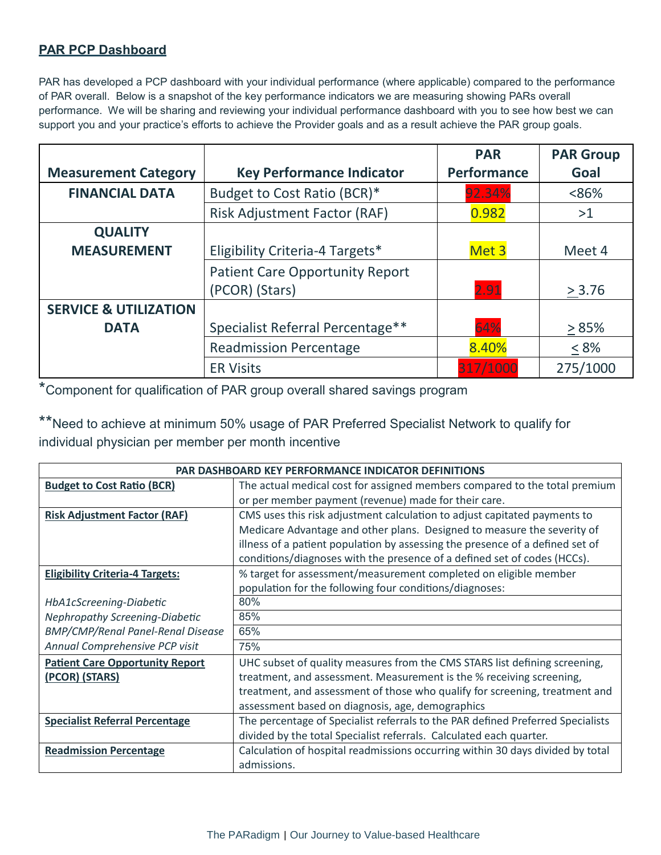## **PAR PCP Dashboard**

PAR has developed a PCP dashboard with your individual performance (where applicable) compared to the performance of PAR overall. Below is a snapshot of the key performance indicators we are measuring showing PARs overall performance. We will be sharing and reviewing your individual performance dashboard with you to see how best we can support you and your practice's efforts to achieve the Provider goals and as a result achieve the PAR group goals.

|                                  |                                        | <b>PAR</b>         | <b>PAR Group</b> |
|----------------------------------|----------------------------------------|--------------------|------------------|
| <b>Measurement Category</b>      | <b>Key Performance Indicator</b>       | <b>Performance</b> | Goal             |
| <b>FINANCIAL DATA</b>            | Budget to Cost Ratio (BCR)*            | 92.34%             | <86%             |
|                                  | <b>Risk Adjustment Factor (RAF)</b>    | 0.982              | >1               |
| <b>QUALITY</b>                   |                                        |                    |                  |
| <b>MEASUREMENT</b>               | Eligibility Criteria-4 Targets*        | Met 3              | Meet 4           |
|                                  | <b>Patient Care Opportunity Report</b> |                    |                  |
|                                  | (PCOR) (Stars)                         | 2.91               | > 3.76           |
| <b>SERVICE &amp; UTILIZATION</b> |                                        |                    |                  |
| <b>DATA</b>                      | Specialist Referral Percentage**       | 64%                | >85%             |
|                                  | <b>Readmission Percentage</b>          | 8.40%              | $< 8\%$          |
|                                  | <b>ER Visits</b>                       | 317/1000           | 275/1000         |

\*Component for qualification of PAR group overall shared savings program

\*\*Need to achieve at minimum 50% usage of PAR Preferred Specialist Network to qualify for individual physician per member per month incentive

| <b>PAR DASHBOARD KEY PERFORMANCE INDICATOR DEFINITIONS</b> |                                                                                 |  |  |
|------------------------------------------------------------|---------------------------------------------------------------------------------|--|--|
| <b>Budget to Cost Ratio (BCR)</b>                          | The actual medical cost for assigned members compared to the total premium      |  |  |
|                                                            | or per member payment (revenue) made for their care.                            |  |  |
| <b>Risk Adjustment Factor (RAF)</b>                        | CMS uses this risk adjustment calculation to adjust capitated payments to       |  |  |
|                                                            | Medicare Advantage and other plans. Designed to measure the severity of         |  |  |
|                                                            | illness of a patient population by assessing the presence of a defined set of   |  |  |
|                                                            | conditions/diagnoses with the presence of a defined set of codes (HCCs).        |  |  |
| <b>Eligibility Criteria-4 Targets:</b>                     | % target for assessment/measurement completed on eligible member                |  |  |
|                                                            | population for the following four conditions/diagnoses:                         |  |  |
| HbA1cScreening-Diabetic                                    | 80%                                                                             |  |  |
| Nephropathy Screening-Diabetic                             | 85%                                                                             |  |  |
| <b>BMP/CMP/Renal Panel-Renal Disease</b>                   | 65%                                                                             |  |  |
| Annual Comprehensive PCP visit                             | 75%                                                                             |  |  |
| <b>Patient Care Opportunity Report</b>                     | UHC subset of quality measures from the CMS STARS list defining screening,      |  |  |
| (PCOR) (STARS)                                             | treatment, and assessment. Measurement is the % receiving screening,            |  |  |
|                                                            | treatment, and assessment of those who qualify for screening, treatment and     |  |  |
|                                                            | assessment based on diagnosis, age, demographics                                |  |  |
| <b>Specialist Referral Percentage</b>                      | The percentage of Specialist referrals to the PAR defined Preferred Specialists |  |  |
|                                                            | divided by the total Specialist referrals. Calculated each quarter.             |  |  |
| <b>Readmission Percentage</b>                              | Calculation of hospital readmissions occurring within 30 days divided by total  |  |  |
|                                                            | admissions.                                                                     |  |  |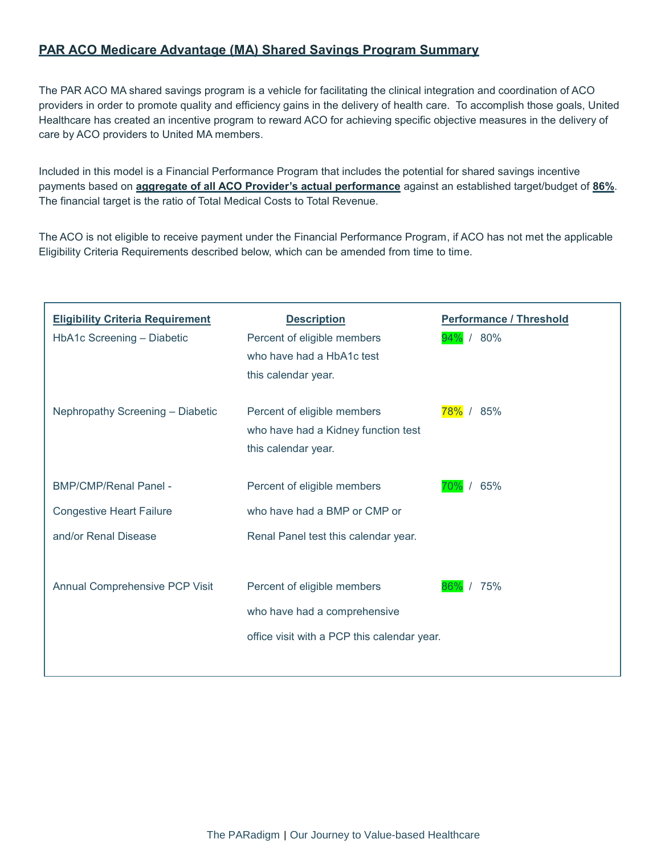## **PAR ACO Medicare Advantage (MA) Shared Savings Program Summary**

The PAR ACO MA shared savings program is a vehicle for facilitating the clinical integration and coordination of ACO providers in order to promote quality and efficiency gains in the delivery of health care. To accomplish those goals, United Healthcare has created an incentive program to reward ACO for achieving specific objective measures in the delivery of care by ACO providers to United MA members.

Included in this model is a Financial Performance Program that includes the potential for shared savings incentive payments based on **aggregate of all ACO Provider's actual performance** against an established target/budget of **86%**. The financial target is the ratio of Total Medical Costs to Total Revenue.

The ACO is not eligible to receive payment under the Financial Performance Program, if ACO has not met the applicable Eligibility Criteria Requirements described below, which can be amended from time to time.

| <b>Eligibility Criteria Requirement</b><br>HbA1c Screening - Diabetic | <b>Description</b><br>Percent of eligible members<br>who have had a HbA1c test<br>this calendar year. | <b>Performance / Threshold</b><br>94% / 80% |
|-----------------------------------------------------------------------|-------------------------------------------------------------------------------------------------------|---------------------------------------------|
| Nephropathy Screening - Diabetic                                      | Percent of eligible members<br>who have had a Kidney function test<br>this calendar year.             | 78% / 85%                                   |
| <b>BMP/CMP/Renal Panel -</b>                                          | Percent of eligible members                                                                           | 65%                                         |
| <b>Congestive Heart Failure</b>                                       | who have had a BMP or CMP or                                                                          |                                             |
| and/or Renal Disease                                                  | Renal Panel test this calendar year.                                                                  |                                             |
| Annual Comprehensive PCP Visit                                        | Percent of eligible members                                                                           | 175%<br>86%                                 |
|                                                                       | who have had a comprehensive                                                                          |                                             |
|                                                                       | office visit with a PCP this calendar year.                                                           |                                             |
|                                                                       |                                                                                                       |                                             |